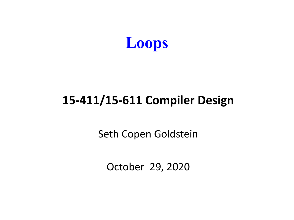

#### **15-411/15-611 Compiler Design**

Seth Copen Goldstein

October 29, 2020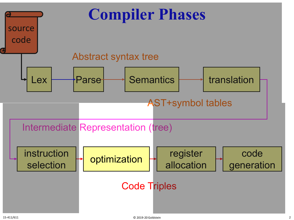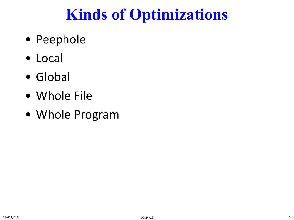## **Kinds of Optimizations**

- Peephole
- Local
- Global
- Whole File
- Whole Program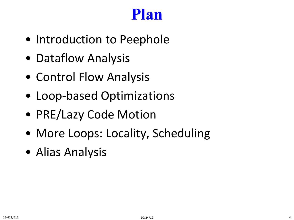#### **Plan**

- Introduction to Peephole
- Dataflow Analysis
- Control Flow Analysis
- Loop-based Optimizations
- PRE/Lazy Code Motion
- More Loops: Locality, Scheduling
- Alias Analysis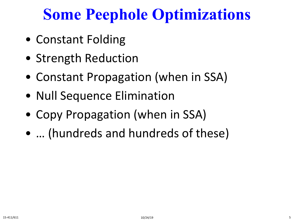## **Some Peephole Optimizations**

- Constant Folding
- Strength Reduction
- Constant Propagation (when in SSA)
- Null Sequence Elimination
- Copy Propagation (when in SSA)
- … (hundreds and hundreds of these)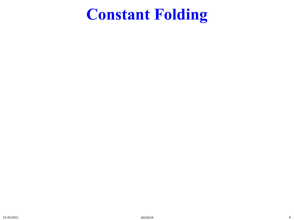#### **Constant Folding**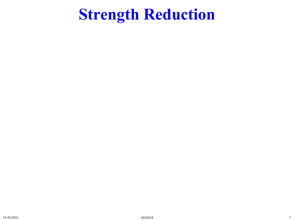#### **Strength Reduction**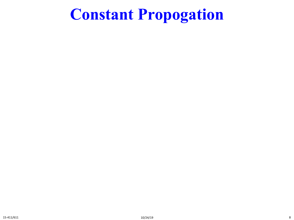#### **Constant Propogation**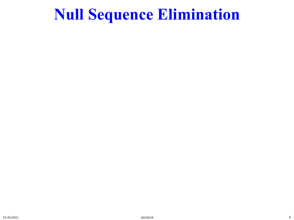#### **Null Sequence Elimination**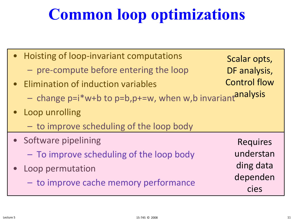## **Common loop optimizations**

| • Hoisting of loop-invariant computations<br>- pre-compute before entering the loop<br>• Elimination of induction variables<br>- change p=i*w+b to p=b,p+=w, when w,b invariantanalysis | Scalar opts,<br>DF analysis,<br><b>Control flow</b>           |
|-----------------------------------------------------------------------------------------------------------------------------------------------------------------------------------------|---------------------------------------------------------------|
| • Loop unrolling<br>- to improve scheduling of the loop body                                                                                                                            |                                                               |
| • Software pipelining<br>- To improve scheduling of the loop body<br>Loop permutation<br>- to improve cache memory performance                                                          | <b>Requires</b><br>understan<br>ding data<br>dependen<br>cies |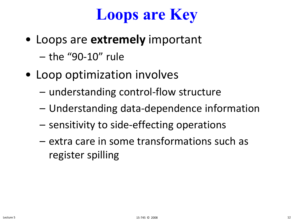

- Loops are **extremely** important
	- the "90-10" rule
- Loop optimization involves
	- understanding control-flow structure
	- Understanding data-dependence information
	- sensitivity to side-effecting operations
	- extra care in some transformations such as register spilling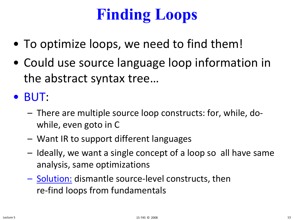# **Finding Loops**

- To optimize loops, we need to find them!
- Could use source language loop information in the abstract syntax tree…

• BUT:

- There are multiple source loop constructs: for, while, dowhile, even goto in C
- Want IR to support different languages
- Ideally, we want a single concept of a loop so all have same analysis, same optimizations
- Solution: dismantle source-level constructs, then re-find loops from fundamentals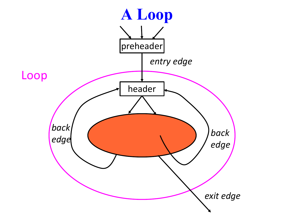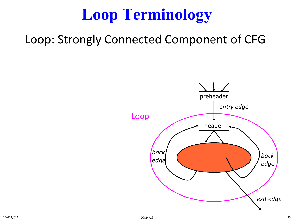#### Loop: Strongly Connected Component of CFG

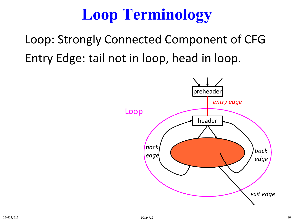Loop: Strongly Connected Component of CFG Entry Edge: tail not in loop, head in loop.

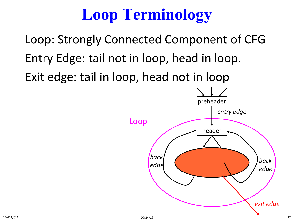Loop: Strongly Connected Component of CFG Entry Edge: tail not in loop, head in loop. Exit edge: tail in loop, head not in loop

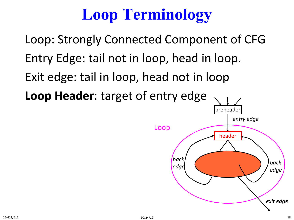Loop: Strongly Connected Component of CFG Entry Edge: tail not in loop, head in loop. Exit edge: tail in loop, head not in loop **Loop Header**: target of entry edge

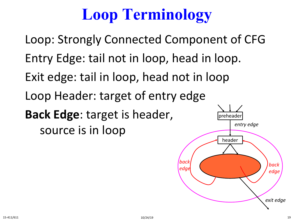Loop: Strongly Connected Component of CFG Entry Edge: tail not in loop, head in loop. Exit edge: tail in loop, head not in loop Loop Header: target of entry edge **Back Edge**: target is header, source is in loop **preheade** *entry edge*

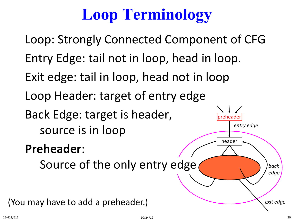preheader header *back edge back* Source of the only entry edge *entry edge exit edge* Loop: Strongly Connected Component of CFG Entry Edge: tail not in loop, head in loop. Exit edge: tail in loop, head not in loop Loop Header: target of entry edge Back Edge: target is header, source is in loop **Preheader**: (You may have to add a preheader.)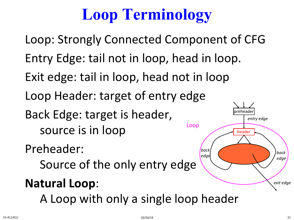Loop: Strongly Connected Component of CFG Entry Edge: tail not in loop, head in loop. Exit edge: tail in loop, head not in loop Loop Header: target of entry edge Back Edge: target is header, source is in loop Preheader: Source of the only entry edge **Natural Loop**: A Loop with only a single loop header 'preheade header *back edge back edge entry edge exit edge* Loop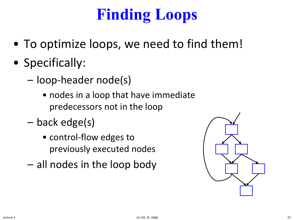# **Finding Loops**

- To optimize loops, we need to find them!
- Specifically:
	- loop-header node(s)
		- nodes in a loop that have immediate predecessors not in the loop
	- back edge(s)
		- control-flow edges to previously executed nodes
	- all nodes in the loop body

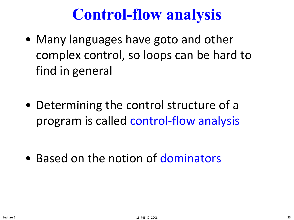## **Control-flow analysis**

- Many languages have goto and other complex control, so loops can be hard to find in general
- Determining the control structure of a program is called control-flow analysis

• Based on the notion of dominators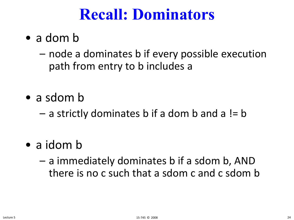#### **Recall: Dominators**

- a dom b
	- node a dominates b if every possible execution path from entry to b includes a
- a sdom b
	- $-$  a strictly dominates b if a dom b and a != b
- a idom b
	- a immediately dominates b if a sdom b, AND there is no c such that a sdom c and c sdom b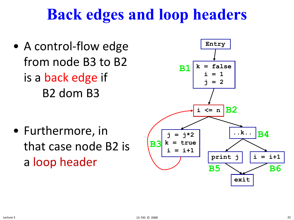## **Back edges and loop headers**

• A control-flow edge from node B3 to B2 is a back edge if B2 dom B3

• Furthermore, in that case node B2 is a loop header

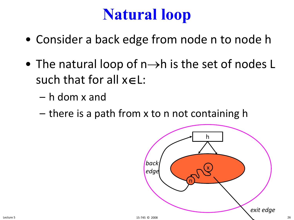## **Natural loop**

- Consider a back edge from node n to node h
- The natural loop of  $n\rightarrow h$  is the set of nodes L such that for all x∈L:
	- h dom x and
	- there is a path from x to n not containing h

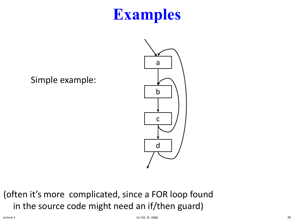Simple example:



(often it's more complicated, since a FOR loop found in the source code might need an if/then guard)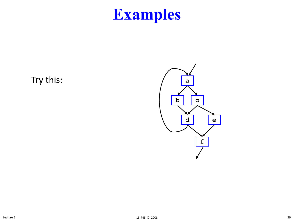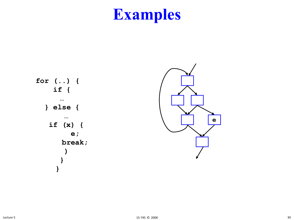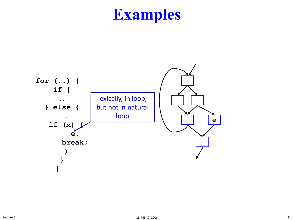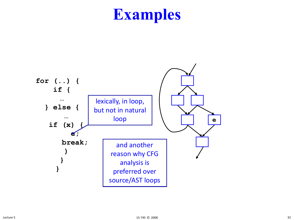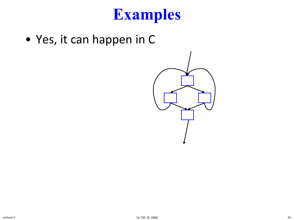• Yes, it can happen in C

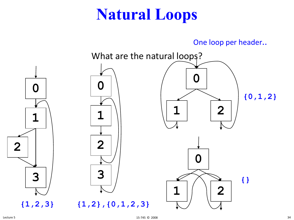## **Natural Loops**

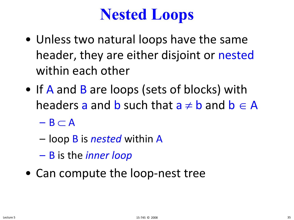## **Nested Loops**

- Unless two natural loops have the same header, they are either disjoint or nested within each other
- If A and B are loops (sets of blocks) with headers a and **b** such that  $a \neq b$  and  $b \in A$ 
	- $-$  B  $\subset$  A
	- loop B is *nested* within A
	- B is the *inner loop*
- Can compute the loop-nest tree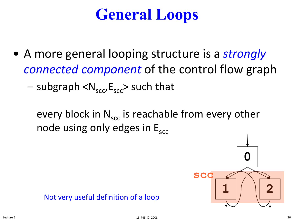## **General Loops**

- A more general looping structure is a *strongly connected component* of the control flow graph
	- subgraph  $\langle N_{\rm sec},E_{\rm sec}\rangle$  such that

every block in  $N_{\rm sec}$  is reachable from every other node using only edges in  $E_{\rm src}$ 

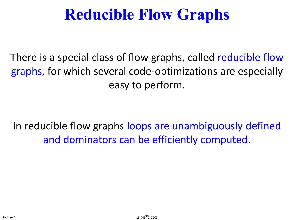## **Reducible Flow Graphs**

There is a special class of flow graphs, called reducible flow graphs, for which several code-optimizations are especially easy to perform.

In reducible flow graphs loops are unambiguously defined and dominators can be efficiently computed.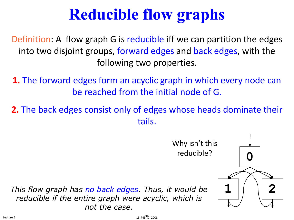# **Reducible flow graphs**

Definition: A flow graph G is reducible iff we can partition the edges into two disjoint groups, forward edges and back edges, with the following two properties.

**1.** The forward edges form an acyclic graph in which every node can be reached from the initial node of G.

**2.** The back edges consist only of edges whose heads dominate their tails.

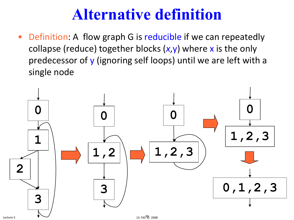### **Alternative definition**

• Definition: A flow graph G is reducible if we can repeatedly collapse (reduce) together blocks (*x*,y) where x is the only predecessor of y (ignoring self loops) until we are left with a single node

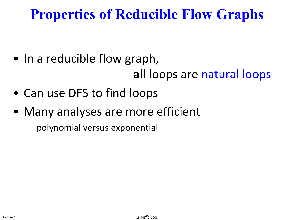### **Properties of Reducible Flow Graphs**

- In a reducible flow graph, **all** loops are natural loops
- Can use DFS to find loops
- Many analyses are more efficient
	- polynomial versus exponential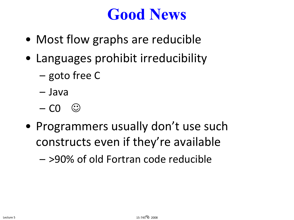### **Good News**

- Most flow graphs are reducible
- Languages prohibit irreducibility
	- goto free C
	- Java
	- $-$  CO  $\circledcirc$
- Programmers usually don't use such constructs even if they're available

– >90% of old Fortran code reducible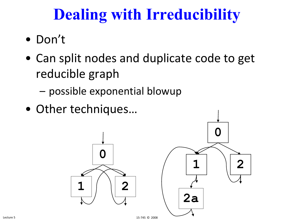# **Dealing with Irreducibility**

- Don't
- Can split nodes and duplicate code to get reducible graph
	- possible exponential blowup
- Other techniques…

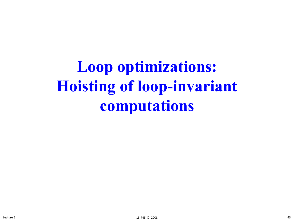**Loop optimizations: Hoisting of loop-invariant computations**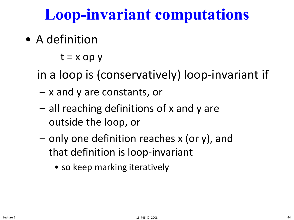## **Loop-invariant computations**

• A definition

 $t = x op y$ 

in a loop is (conservatively) loop-invariant if

- x and y are constants, or
- all reaching definitions of x and y are outside the loop, or
- only one definition reaches x (or y), and that definition is loop-invariant
	- so keep marking iteratively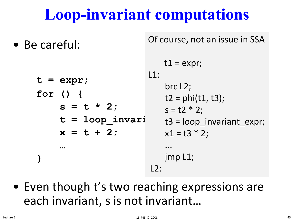## **Loop-invariant computations**

• Be careful:

Of course, not an issue in SSA

**t = expr; for () { s = t \* 2;** t = loop invari  $x = t + 2;$ **… }**  $t1 = expr$ ;  $|1:$ brc L2;  $t2 = phi(t1, t3);$  $s = t2 * 2;$ t3 = loop\_invariant\_expr;  $x1 = t3 * 2;$ ... jmp L1;  $L2$ :

• Even though t's two reaching expressions are each invariant, s is not invariant…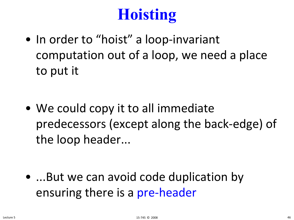# **Hoisting**

• In order to "hoist" a loop-invariant computation out of a loop, we need a place to put it

• We could copy it to all immediate predecessors (except along the back-edge) of the loop header...

• ...But we can avoid code duplication by ensuring there is a pre-header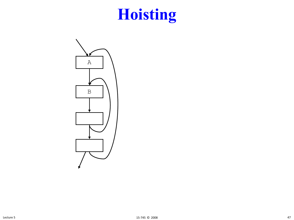# **Hoisting**

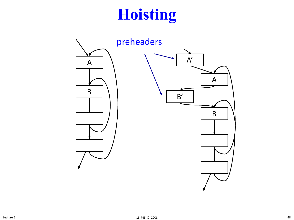# **Hoisting**

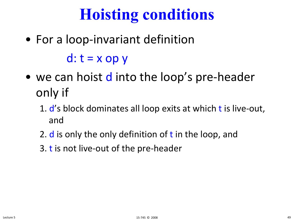# **Hoisting conditions**

• For a loop-invariant definition

 $d: t = x$  op y

- we can hoist d into the loop's pre-header only if
	- 1. d's block dominates all loop exits at which t is live-out, and
	- 2.  $d$  is only the only definition of t in the loop, and
	- 3. t is not live-out of the pre-header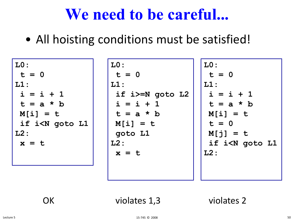### **We need to be careful...**

• All hoisting conditions must be satisfied!

| LO:                                                                                        | LO:             | LO:                               |
|--------------------------------------------------------------------------------------------|-----------------|-----------------------------------|
| $t = 0$                                                                                    | $t = 0$         | $t = 0$                           |
| LI:                                                                                        | LI:             | LI:                               |
| $i = i + 1$                                                                                | if i>=N goto L2 | $i = i + 1$                       |
| $t = a * b$                                                                                | $i = i + 1$     | $t = a * b$                       |
| $M[i] = t$                                                                                 | $t = a * b$     | $M[i] = t$                        |
| if i <n goto="" l1<="" td=""><td><math>M[i] = t</math></td><td><math>t = 0</math></td></n> | $M[i] = t$      | $t = 0$                           |
| $L2$ :                                                                                     | goto L1         | $M[j] = t$                        |
| $x = t$                                                                                    | $L2$ :          | if i <n goto="" l1<="" td=""></n> |
|                                                                                            | $x = t$         | $L2$ :                            |
|                                                                                            |                 |                                   |
|                                                                                            |                 |                                   |

OK violates 1,3 violates 2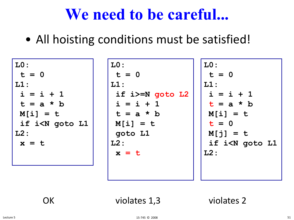### **We need to be careful...**

• All hoisting conditions must be satisfied!

| $ $ LO :                                                                                   | LO:             | LO:                               |
|--------------------------------------------------------------------------------------------|-----------------|-----------------------------------|
| $t = 0$                                                                                    | $t = 0$         | $t = 0$                           |
| LI:                                                                                        | $L1$ :          | LI:                               |
| $i = i + 1$                                                                                | if i>=N goto L2 | $i = i + 1$                       |
| $t = a * b$                                                                                | $i = i + 1$     | $t = a * b$                       |
| $M[i] = t$                                                                                 | $t = a * b$     | $M[i] = t$                        |
| if i <n goto="" l1<="" td=""><td><math>M[i] = t</math></td><td><math>t = 0</math></td></n> | $M[i] = t$      | $t = 0$                           |
| $L2$ :                                                                                     | goto L1         | $M[j] = t$                        |
| $x = t$                                                                                    | $L2$ :          | if i <n goto="" l1<="" td=""></n> |
|                                                                                            | $x = t$         | $L2$ :                            |
|                                                                                            |                 |                                   |
|                                                                                            |                 |                                   |

OK violates 1,3 violates 2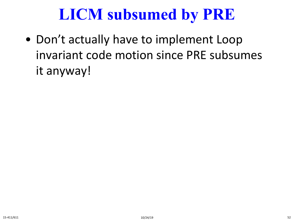## **LICM subsumed by PRE**

• Don't actually have to implement Loop invariant code motion since PRE subsumes it anyway!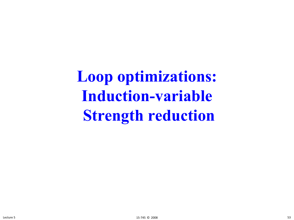**Loop optimizations: Induction-variable Strength reduction**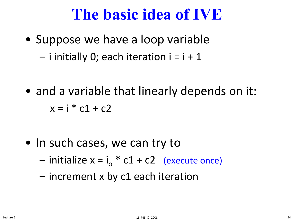### **The basic idea of IVE**

• Suppose we have a loop variable  $-$  i initially 0; each iteration  $i = i + 1$ 

• and a variable that linearly depends on it:  $x = i * c1 + c2$ 

- In such cases, we can try to
	- initialize  $x = i_0 * c1 + c2$  (execute once)
	- increment x by c1 each iteration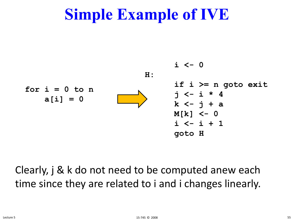

#### Clearly, j & k do not need to be computed anew each time since they are related to i and i changes linearly.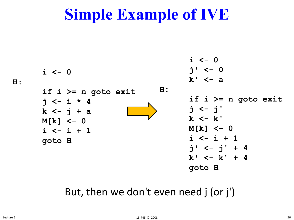

#### But, then we don't even need j (or j')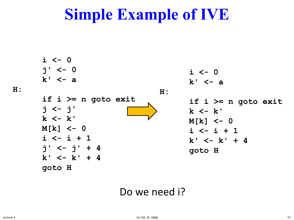**i <- 0 j' <- 0 k' <- a if i >= n goto exit j <- j' k <- k' M[k] <- 0 i <- i + 1 j' <- j' + 4 k' <- k' + 4 goto H i <- 0 k' <- a H: if i >= n goto exit k <- k' M[k] <- 0 i <- i + 1 k' <- k' + 4 goto H**

#### Do we need i?

**H:**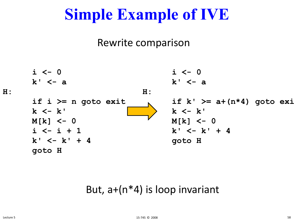#### Rewrite comparison



#### But, a+(n\*4) is loop invariant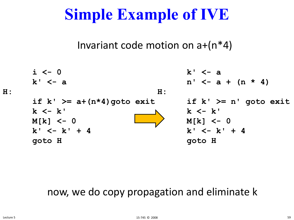#### Invariant code motion on  $a+(n^*4)$



#### now, we do copy propagation and eliminate k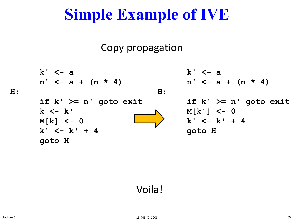#### Copy propagation

k' 
$$
\leftarrow a
$$
  
\nn'  $\leftarrow a + (n * 4)$   
\nl:  
\nif k'  $\ge n'$  goto exit  
\nk  $\leftarrow k'$   
\nM[k]  $\leftarrow 0$   
\nk'  $\leftarrow k'$   
\nM[k]  $\leftarrow 0$   
\nk'  $\leftarrow k' + 4$   
\nk'  $\leftarrow k' + 4$   
\ngoto H  
\n

#### Voila!

**H:**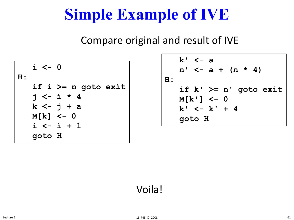Compare original and result of IVE

**i <- 0 H: if i >= n goto exit j <- i \* 4 k <- j + a M[k] <- 0 i <- i + 1 goto H**

**k' <- a n' <- a + (n \* 4) H: if k' >= n' goto exit M[k'] <- 0**  $k' < -k' + 4$ **goto H**

#### Voila!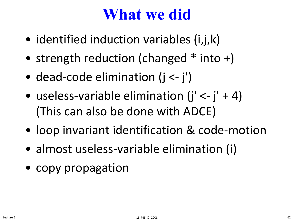### **What we did**

- identified induction variables (i,j,k)
- strength reduction (changed \* into +)
- dead-code elimination (j <- j')
- useless-variable elimination  $(i' < -j' + 4)$ (This can also be done with ADCE)
- loop invariant identification & code-motion
- almost useless-variable elimination (i)
- copy propagation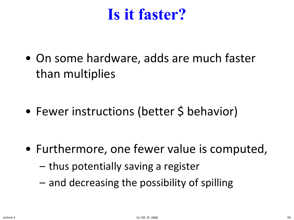### **Is it faster?**

• On some hardware, adds are much faster than multiplies

• Fewer instructions (better \$ behavior)

- Furthermore, one fewer value is computed,
	- thus potentially saving a register
	- and decreasing the possibility of spilling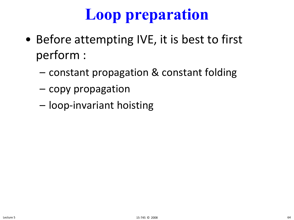# **Loop preparation**

- Before attempting IVE, it is best to first perform :
	- constant propagation & constant folding
	- copy propagation
	- loop-invariant hoisting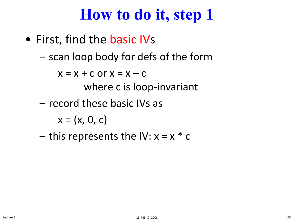## **How to do it, step 1**

- First, find the basic IVs
	- scan loop body for defs of the form

 $x = x + c$  or  $x = x - c$ 

where c is loop-invariant

– record these basic IVs as

 $x = (x, 0, c)$ 

– this represents the IV:  $x = x * c$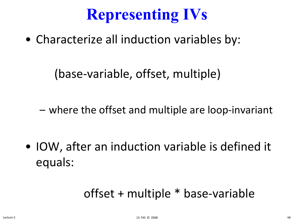# **Representing IVs**

• Characterize all induction variables by:

(base-variable, offset, multiple)

– where the offset and multiple are loop-invariant

• IOW, after an induction variable is defined it equals:

### offset + multiple \* base-variable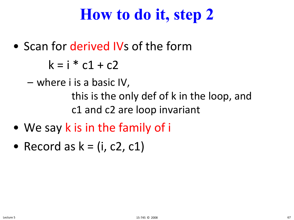## **How to do it, step 2**

• Scan for derived IVs of the form

 $k = i * c1 + c2$ 

– where i is a basic IV, this is the only def of k in the loop, and c1 and c2 are loop invariant

- We say k is in the family of i
- Record as  $k = (i, c2, c1)$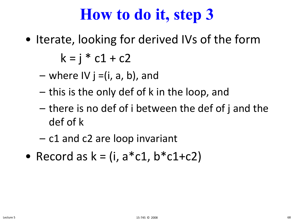## **How to do it, step 3**

• Iterate, looking for derived IVs of the form

 $k = i * c1 + c2$ 

- $-$  where IV j =(i, a, b), and
- this is the only def of k in the loop, and
- there is no def of i between the def of j and the def of k
- c1 and c2 are loop invariant
- Record as  $k = (i, a * c1, b * c1 + c2)$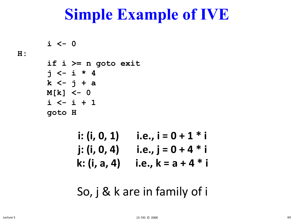```
i <- 0
if i >= n goto exit
j <- i * 4
k <- j + a
M[k] <- 0
i <- i + 1
goto H
```

| i: $(i, 0, 1)$ | i.e., $i = 0 + 1 * i$ |
|----------------|-----------------------|
| j: $(i, 0, 4)$ | i.e., $j = 0 + 4 * i$ |
| k: (i, a, 4)   | i.e., $k = a + 4 * i$ |

So, j & k are in family of i

**H:**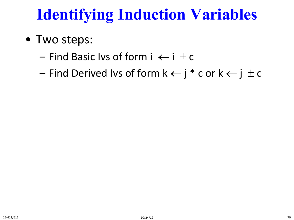# **Identifying Induction Variables**

- Two steps:
	- $-$  Find Basic Ivs of form  $i \leftarrow i \pm c$
	- Find Derived Ivs of form  $k \leftarrow j^* c$  or  $k \leftarrow j \pm c$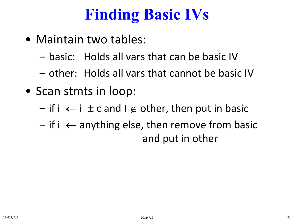# **Finding Basic IVs**

- Maintain two tables:
	- basic: Holds all vars that can be basic IV
	- other: Holds all vars that cannot be basic IV
- Scan stmts in loop:
	- if i  $\leftarrow$  i  $\pm$  c and l  $\notin$  other, then put in basic
	- $-$  if i  $\leftarrow$  anything else, then remove from basic and put in other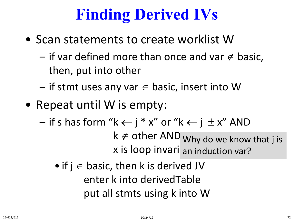# **Finding Derived IVs**

- Scan statements to create worklist W
	- if var defined more than once and var  $\notin$  basic, then, put into other
	- $-$  if stmt uses any var  $\in$  basic, insert into W
- Repeat until W is empty:

 $-$  if s has form "k  $\leftarrow$  j \* x" or "k  $\leftarrow$  j  $\pm$  x" AND

 $k \notin$  other AND why do we know that j is x is loop invari an induction var?

• if  $j \in$  basic, then k is derived JV enter k into derivedTable put all stmts using k into W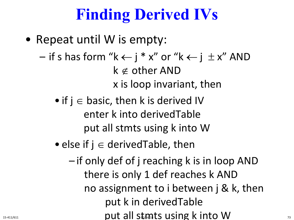# **Finding Derived IVs**

- Repeat until W is empty:
	- $-$  if s has form "k  $\leftarrow$  j \* x" or "k  $\leftarrow$  j  $\pm$  x" AND k ∉ other AND x is loop invariant, then
		- if  $j \in$  basic, then k is derived IV enter k into derivedTable put all stmts using k into W
		- else if  $j \in$  derived Table, then
- if only def of j reaching k is in loop AND there is only 1 def reaches k AND no assignment to i between j & k, then put k in derivedTable  $15-411/611$  15-411/611 10 V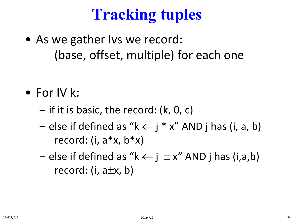# **Tracking tuples**

• As we gather Ivs we record: (base, offset, multiple) for each one

- For IV k:
	- if it is basic, the record: (k, 0, c)
	- else if defined as "k  $\leftarrow$  j \* x" AND j has (i, a, b) record:  $(i, a^*x, b^*x)$
	- else if defined as "k  $\leftarrow$  j  $\pm x$ " AND j has (i,a,b) record: (i,  $a \pm x$ , b)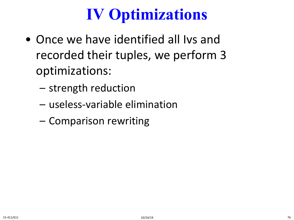# **IV Optimizations**

- Once we have identified all Ivs and recorded their tuples, we perform 3 optimizations:
	- strength reduction
	- useless-variable elimination
	- Comparison rewriting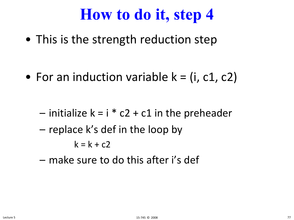#### **How to do it, step 4**

• This is the strength reduction step

• For an induction variable  $k = (i, c1, c2)$ 

- $-$  initialize k = i  $*$  c2 + c1 in the preheader
- replace k's def in the loop by

$$
k = k + c2
$$

– make sure to do this after i's def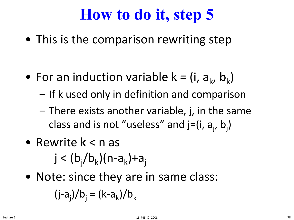## **How to do it, step 5**

• This is the comparison rewriting step

- For an induction variable  $k = (i, a_k, b_k)$ 
	- If k used only in definition and comparison
	- There exists another variable, j, in the same class and is not "useless" and j=(i, a<sub>j</sub>, b<sub>j</sub>)
- Rewrite k < n as  ${\mathsf j} < ({\mathsf b}_{\mathsf j} / {\mathsf b}_{\mathsf k}) ({\mathsf n}$ -a $_{\mathsf k})$ +a $_{\mathsf j}$
- Note: since they are in same class:

$$
(j-a_j)/b_j = (k-a_k)/b_k
$$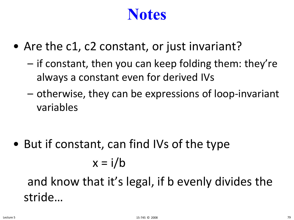#### **Notes**

- Are the c1, c2 constant, or just invariant?
	- if constant, then you can keep folding them: they're always a constant even for derived IVs
	- otherwise, they can be expressions of loop-invariant variables

• But if constant, can find IVs of the type  $x = i/b$ 

and know that it's legal, if b evenly divides the stride…